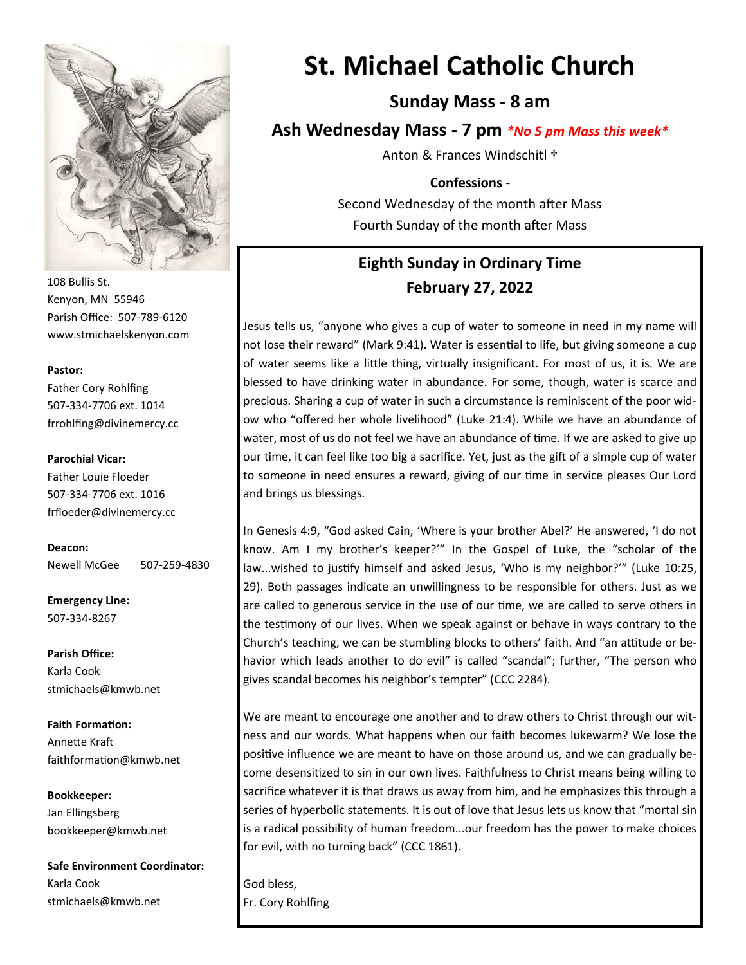

108 Bullis St. Kenyon, MN 55946 Parish Office: 507-789-6120 www.stmichaelskenyon.com

#### **Pastor:**

Father Cory Rohlfing 507-334-7706 ext. 1014 frrohlfing@divinemercy.cc

#### **Parochial Vicar:**

Father Louie Floeder 507-334-7706 ext. 1016 frfloeder@divinemercy.cc

**Deacon:**  Newell McGee 507-259-4830

**Emergency Line:** 507-334-8267

**Parish Office:**  Karla Cook stmichaels@kmwb.net

**Faith Formation:**  Annette Kraft faithformation@kmwb.net

**Bookkeeper:**  Jan Ellingsberg bookkeeper@kmwb.net

**Safe Environment Coordinator:** Karla Cook stmichaels@kmwb.net

# **St. Michael Catholic Church**

**Sunday Mass - 8 am**

**Ash Wednesday Mass - 7 pm** *\*No 5 pm Mass this week\**

Anton & Frances Windschitl †

#### **Confessions** -

Second Wednesday of the month after Mass Fourth Sunday of the month after Mass

# **Eighth Sunday in Ordinary Time February 27, 2022**

Jesus tells us, "anyone who gives a cup of water to someone in need in my name will not lose their reward" (Mark 9:41). Water is essential to life, but giving someone a cup of water seems like a little thing, virtually insignificant. For most of us, it is. We are blessed to have drinking water in abundance. For some, though, water is scarce and precious. Sharing a cup of water in such a circumstance is reminiscent of the poor widow who "offered her whole livelihood" (Luke 21:4). While we have an abundance of water, most of us do not feel we have an abundance of time. If we are asked to give up our time, it can feel like too big a sacrifice. Yet, just as the gift of a simple cup of water to someone in need ensures a reward, giving of our time in service pleases Our Lord and brings us blessings.

In Genesis 4:9, "God asked Cain, 'Where is your brother Abel?' He answered, 'I do not know. Am I my brother's keeper?'" In the Gospel of Luke, the "scholar of the law...wished to justify himself and asked Jesus, 'Who is my neighbor?'" (Luke 10:25, 29). Both passages indicate an unwillingness to be responsible for others. Just as we are called to generous service in the use of our time, we are called to serve others in the testimony of our lives. When we speak against or behave in ways contrary to the Church's teaching, we can be stumbling blocks to others' faith. And "an attitude or behavior which leads another to do evil" is called "scandal"; further, "The person who gives scandal becomes his neighbor's tempter" (CCC 2284).

We are meant to encourage one another and to draw others to Christ through our witness and our words. What happens when our faith becomes lukewarm? We lose the positive influence we are meant to have on those around us, and we can gradually become desensitized to sin in our own lives. Faithfulness to Christ means being willing to sacrifice whatever it is that draws us away from him, and he emphasizes this through a series of hyperbolic statements. It is out of love that Jesus lets us know that "mortal sin is a radical possibility of human freedom...our freedom has the power to make choices for evil, with no turning back" (CCC 1861).

God bless, Fr. Cory Rohlfing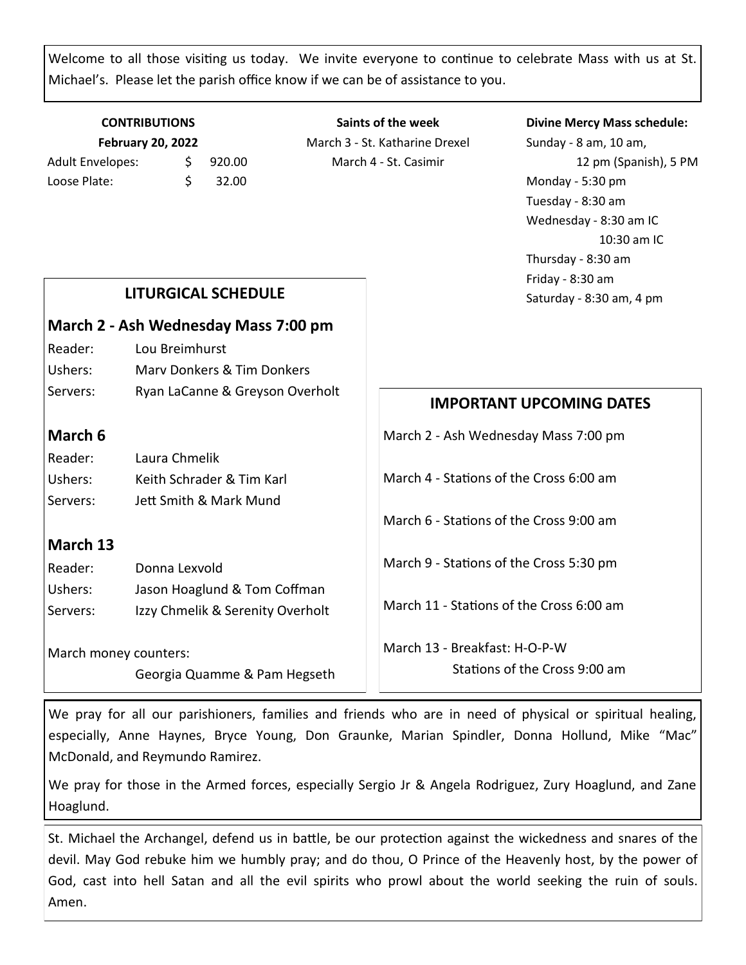Welcome to all those visiting us today. We invite everyone to continue to celebrate Mass with us at St. Michael's. Please let the parish office know if we can be of assistance to you.

## **CONTRIBUTIONS February 20, 2022** Adult Envelopes:  $\frac{1}{2}$  920.00 Loose Plate:  $\angle$  \$ 32.00

**Saints of the week** March 3 - St. Katharine Drexel March 4 - St. Casimir

#### **Divine Mercy Mass schedule:**

Sunday - 8 am, 10 am, 12 pm (Spanish), 5 PM Monday - 5:30 pm Tuesday - 8:30 am Wednesday - 8:30 am IC 10:30 am IC Thursday - 8:30 am Friday - 8:30 am

|                                      |                                                       | Thursday - 8:30 am<br>Friday - 8:30 am                         |
|--------------------------------------|-------------------------------------------------------|----------------------------------------------------------------|
| <b>LITURGICAL SCHEDULE</b>           |                                                       | Saturday - 8:30 am, 4 pm                                       |
| March 2 - Ash Wednesday Mass 7:00 pm |                                                       |                                                                |
| Reader:                              | Lou Breimhurst                                        |                                                                |
| Ushers:                              | <b>Mary Donkers &amp; Tim Donkers</b>                 |                                                                |
| Servers:                             | Ryan LaCanne & Greyson Overholt                       | <b>IMPORTANT UPCOMING DATES</b>                                |
| March 6                              |                                                       | March 2 - Ash Wednesday Mass 7:00 pm                           |
| Reader:                              | Laura Chmelik                                         |                                                                |
| Ushers:                              | Keith Schrader & Tim Karl                             | March 4 - Stations of the Cross 6:00 am                        |
| Servers:                             | Jett Smith & Mark Mund                                |                                                                |
|                                      |                                                       | March 6 - Stations of the Cross 9:00 am                        |
| March 13                             |                                                       |                                                                |
| Reader:                              | Donna Lexvold                                         | March 9 - Stations of the Cross 5:30 pm                        |
| Ushers:                              | Jason Hoaglund & Tom Coffman                          |                                                                |
| Servers:                             | Izzy Chmelik & Serenity Overholt                      | March 11 - Stations of the Cross 6:00 am                       |
|                                      | March money counters:<br>Georgia Quamme & Pam Hegseth | March 13 - Breakfast: H-O-P-W<br>Stations of the Cross 9:00 am |

We pray for all our parishioners, families and friends who are in need of physical or spiritual healing, especially, Anne Haynes, Bryce Young, Don Graunke, Marian Spindler, Donna Hollund, Mike "Mac" McDonald, and Reymundo Ramirez.

We pray for those in the Armed forces, especially Sergio Jr & Angela Rodriguez, Zury Hoaglund, and Zane Hoaglund.

St. Michael the Archangel, defend us in battle, be our protection against the wickedness and snares of the devil. May God rebuke him we humbly pray; and do thou, O Prince of the Heavenly host, by the power of God, cast into hell Satan and all the evil spirits who prowl about the world seeking the ruin of souls. Amen.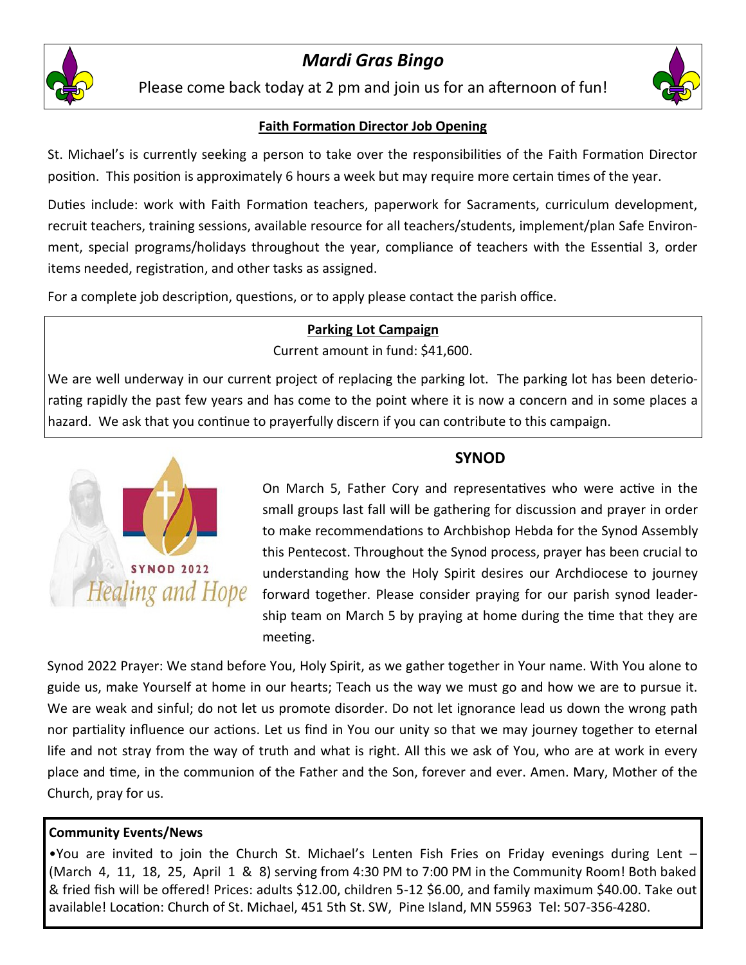

# *Mardi Gras Bingo*

Please come back today at 2 pm and join us for an afternoon of fun!



## **Faith Formation Director Job Opening**

St. Michael's is currently seeking a person to take over the responsibilities of the Faith Formation Director position. This position is approximately 6 hours a week but may require more certain times of the year.

Duties include: work with Faith Formation teachers, paperwork for Sacraments, curriculum development, recruit teachers, training sessions, available resource for all teachers/students, implement/plan Safe Environment, special programs/holidays throughout the year, compliance of teachers with the Essential 3, order items needed, registration, and other tasks as assigned.

For a complete job description, questions, or to apply please contact the parish office.

#### **Parking Lot Campaign**

Current amount in fund: \$41,600.

We are well underway in our current project of replacing the parking lot. The parking lot has been deteriorating rapidly the past few years and has come to the point where it is now a concern and in some places a hazard. We ask that you continue to prayerfully discern if you can contribute to this campaign.



## **SYNOD**

On March 5, Father Cory and representatives who were active in the small groups last fall will be gathering for discussion and prayer in order to make recommendations to Archbishop Hebda for the Synod Assembly this Pentecost. Throughout the Synod process, prayer has been crucial to understanding how the Holy Spirit desires our Archdiocese to journey forward together. Please consider praying for our parish synod leadership team on March 5 by praying at home during the time that they are meeting.

Synod 2022 Prayer: We stand before You, Holy Spirit, as we gather together in Your name. With You alone to guide us, make Yourself at home in our hearts; Teach us the way we must go and how we are to pursue it. We are weak and sinful; do not let us promote disorder. Do not let ignorance lead us down the wrong path nor partiality influence our actions. Let us find in You our unity so that we may journey together to eternal life and not stray from the way of truth and what is right. All this we ask of You, who are at work in every place and time, in the communion of the Father and the Son, forever and ever. Amen. Mary, Mother of the Church, pray for us.

#### **Community Events/News**

•You are invited to join the Church St. Michael's Lenten Fish Fries on Friday evenings during Lent – (March 4, 11, 18, 25, April 1 & 8) serving from 4:30 PM to 7:00 PM in the Community Room! Both baked & fried fish will be offered! Prices: adults \$12.00, children 5-12 \$6.00, and family maximum \$40.00. Take out available! Location: Church of St. Michael, 451 5th St. SW, Pine Island, MN 55963 Tel: 507-356-4280.